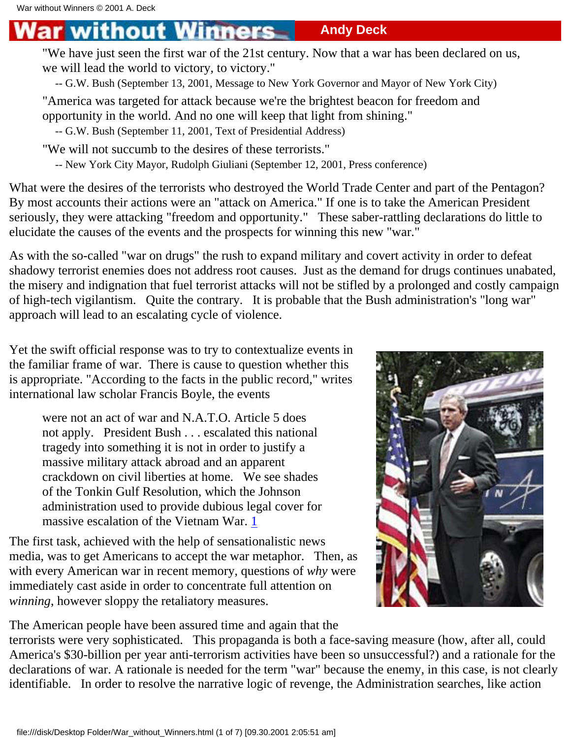## without Winners **Andy Deck**

"We have just seen the first war of the 21st century. Now that a war has been declared on us, we will lead the world to victory, to victory."

-- G.W. Bush (September 13, 2001, Message to New York Governor and Mayor of New York City)

"America was targeted for attack because we're the brightest beacon for freedom and opportunity in the world. And no one will keep that light from shining."

-- G.W. Bush (September 11, 2001, Text of Presidential Address)

"We will not succumb to the desires of these terrorists."

-- New York City Mayor, Rudolph Giuliani (September 12, 2001, Press conference)

What were the desires of the terrorists who destroyed the World Trade Center and part of the Pentagon? By most accounts their actions were an "attack on America." If one is to take the American President seriously, they were attacking "freedom and opportunity." These saber-rattling declarations do little to elucidate the causes of the events and the prospects for winning this new "war."

As with the so-called "war on drugs" the rush to expand military and covert activity in order to defeat shadowy terrorist enemies does not address root causes. Just as the demand for drugs continues unabated, the misery and indignation that fuel terrorist attacks will not be stifled by a prolonged and costly campaign of high-tech vigilantism. Quite the contrary. It is probable that the Bush administration's "long war" approach will lead to an escalating cycle of violence.

Yet the swift official response was to try to contextualize events in the familiar frame of war. There is cause to question whether this is appropriate. "According to the facts in the public record," writes international law scholar Francis Boyle, the events

were not an act of war and N.A.T.O. Article 5 does not apply. President Bush . . . escalated this national tragedy into something it is not in order to justify a massive military attack abroad and an apparent crackdown on civil liberties at home. We see shades of the Tonkin Gulf Resolution, which the Johnson administration used to provide dubious legal cover for massive escalation of the Vietnam War. [1](#page-6-0)

The first task, achieved with the help of sensationalistic news media, was to get Americans to accept the war metaphor. Then, as with every American war in recent memory, questions of *why* were immediately cast aside in order to concentrate full attention on *winning*, however sloppy the retaliatory measures.



The American people have been assured time and again that the terrorists were very sophisticated. This propaganda is both a face-saving measure (how, after all, could America's \$30-billion per year anti-terrorism activities have been so unsuccessful?) and a rationale for the declarations of war. A rationale is needed for the term "war" because the enemy, in this case, is not clearly identifiable. In order to resolve the narrative logic of revenge, the Administration searches, like action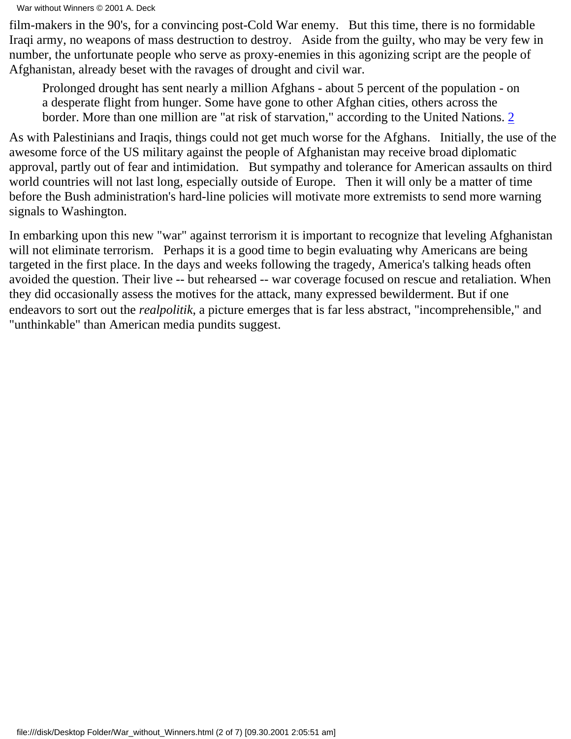War without Winners © 2001 A. Deck

film-makers in the 90's, for a convincing post-Cold War enemy. But this time, there is no formidable Iraqi army, no weapons of mass destruction to destroy. Aside from the guilty, who may be very few in number, the unfortunate people who serve as proxy-enemies in this agonizing script are the people of Afghanistan, already beset with the ravages of drought and civil war.

Prolonged drought has sent nearly a million Afghans - about 5 percent of the population - on a desperate flight from hunger. Some have gone to other Afghan cities, others across the border. More than one million are "at risk of starvation," according to the United Nations. [2](#page-6-0)

As with Palestinians and Iraqis, things could not get much worse for the Afghans. Initially, the use of the awesome force of the US military against the people of Afghanistan may receive broad diplomatic approval, partly out of fear and intimidation. But sympathy and tolerance for American assaults on third world countries will not last long, especially outside of Europe. Then it will only be a matter of time before the Bush administration's hard-line policies will motivate more extremists to send more warning signals to Washington.

In embarking upon this new "war" against terrorism it is important to recognize that leveling Afghanistan will not eliminate terrorism. Perhaps it is a good time to begin evaluating why Americans are being targeted in the first place. In the days and weeks following the tragedy, America's talking heads often avoided the question. Their live -- but rehearsed -- war coverage focused on rescue and retaliation. When they did occasionally assess the motives for the attack, many expressed bewilderment. But if one endeavors to sort out the *realpolitik*, a picture emerges that is far less abstract, "incomprehensible," and "unthinkable" than American media pundits suggest.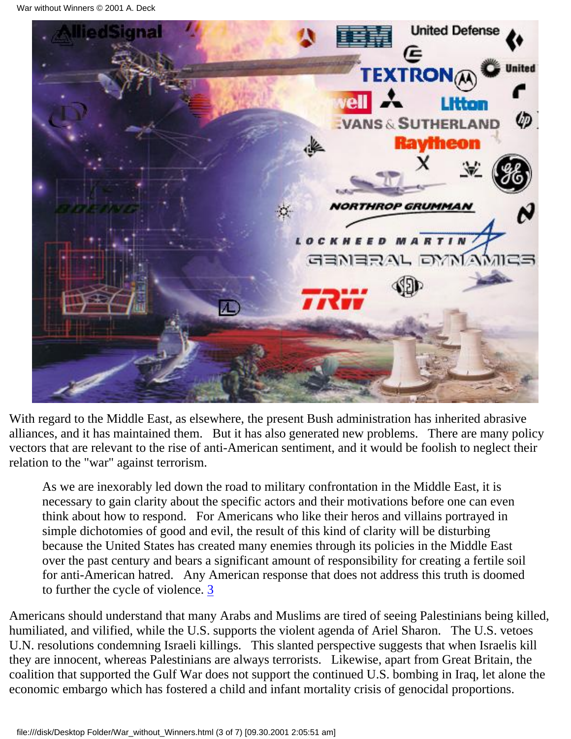

With regard to the Middle East, as elsewhere, the present Bush administration has inherited abrasive alliances, and it has maintained them. But it has also generated new problems. There are many policy vectors that are relevant to the rise of anti-American sentiment, and it would be foolish to neglect their relation to the "war" against terrorism.

As we are inexorably led down the road to military confrontation in the Middle East, it is necessary to gain clarity about the specific actors and their motivations before one can even think about how to respond. For Americans who like their heros and villains portrayed in simple dichotomies of good and evil, the result of this kind of clarity will be disturbing because the United States has created many enemies through its policies in the Middle East over the past century and bears a significant amount of responsibility for creating a fertile soil for anti-American hatred. Any American response that does not address this truth is doomed to further the cycle of violence. [3](#page-6-0)

Americans should understand that many Arabs and Muslims are tired of seeing Palestinians being killed, humiliated, and vilified, while the U.S. supports the violent agenda of Ariel Sharon. The U.S. vetoes U.N. resolutions condemning Israeli killings. This slanted perspective suggests that when Israelis kill they are innocent, whereas Palestinians are always terrorists. Likewise, apart from Great Britain, the coalition that supported the Gulf War does not support the continued U.S. bombing in Iraq, let alone the economic embargo which has fostered a child and infant mortality crisis of genocidal proportions.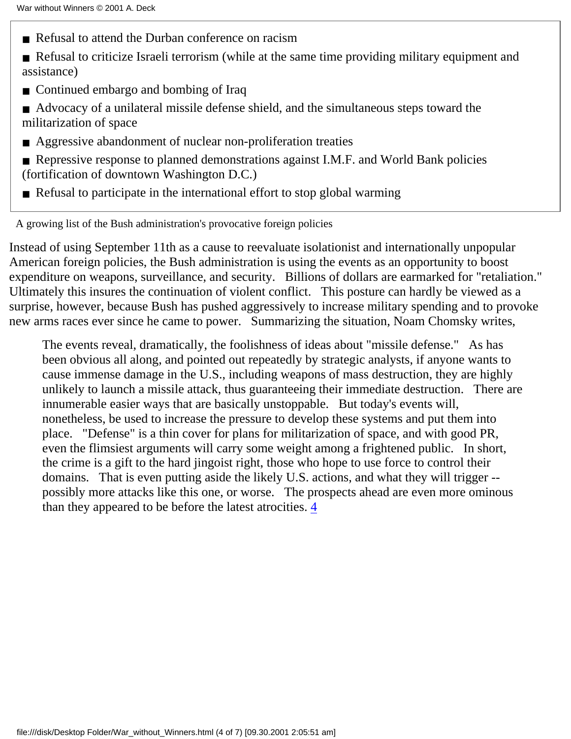- Refusal to attend the Durban conference on racism
- Refusal to criticize Israeli terrorism (while at the same time providing military equipment and assistance)
- Continued embargo and bombing of Iraq
- Advocacy of a unilateral missile defense shield, and the simultaneous steps toward the militarization of space
- Aggressive abandonment of nuclear non-proliferation treaties
- Repressive response to planned demonstrations against I.M.F. and World Bank policies (fortification of downtown Washington D.C.)
- Refusal to participate in the international effort to stop global warming

A growing list of the Bush administration's provocative foreign policies

Instead of using September 11th as a cause to reevaluate isolationist and internationally unpopular American foreign policies, the Bush administration is using the events as an opportunity to boost expenditure on weapons, surveillance, and security. Billions of dollars are earmarked for "retaliation." Ultimately this insures the continuation of violent conflict. This posture can hardly be viewed as a surprise, however, because Bush has pushed aggressively to increase military spending and to provoke new arms races ever since he came to power. Summarizing the situation, Noam Chomsky writes,

The events reveal, dramatically, the foolishness of ideas about "missile defense." As has been obvious all along, and pointed out repeatedly by strategic analysts, if anyone wants to cause immense damage in the U.S., including weapons of mass destruction, they are highly unlikely to launch a missile attack, thus guaranteeing their immediate destruction. There are innumerable easier ways that are basically unstoppable. But today's events will, nonetheless, be used to increase the pressure to develop these systems and put them into place. "Defense" is a thin cover for plans for militarization of space, and with good PR, even the flimsiest arguments will carry some weight among a frightened public. In short, the crime is a gift to the hard jingoist right, those who hope to use force to control their domains. That is even putting aside the likely U.S. actions, and what they will trigger - possibly more attacks like this one, or worse. The prospects ahead are even more ominous than they appeared to be before the latest atrocities. [4](#page-6-0)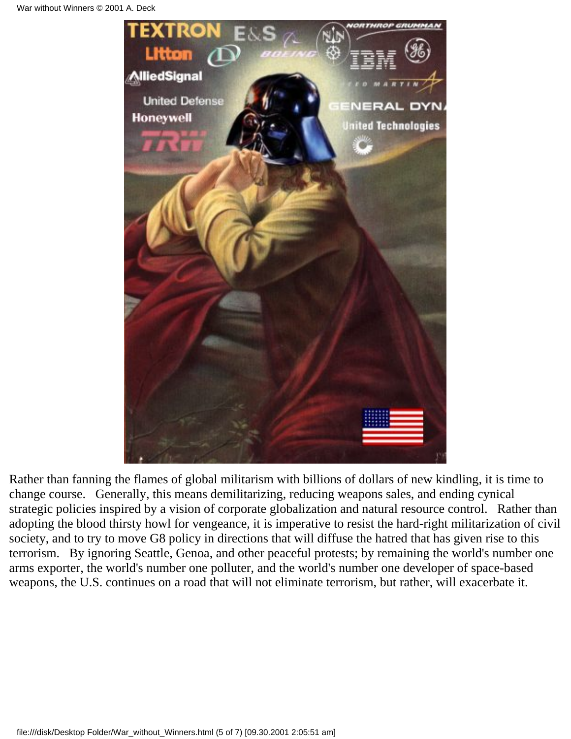

Rather than fanning the flames of global militarism with billions of dollars of new kindling, it is time to change course. Generally, this means demilitarizing, reducing weapons sales, and ending cynical strategic policies inspired by a vision of corporate globalization and natural resource control. Rather than adopting the blood thirsty howl for vengeance, it is imperative to resist the hard-right militarization of civil society, and to try to move G8 policy in directions that will diffuse the hatred that has given rise to this terrorism. By ignoring Seattle, Genoa, and other peaceful protests; by remaining the world's number one arms exporter, the world's number one polluter, and the world's number one developer of space-based weapons, the U.S. continues on a road that will not eliminate terrorism, but rather, will exacerbate it.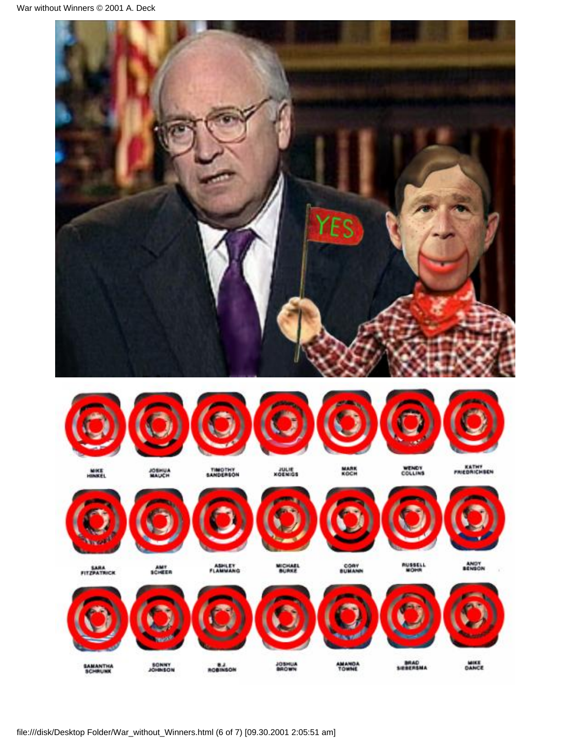